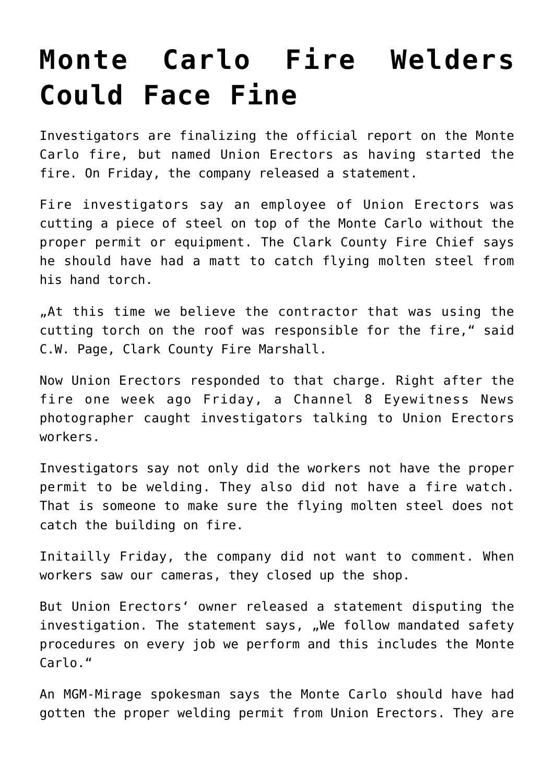## **[Monte Carlo Fire Welders](https://www.isa-guide.de/english-news/articles/19593.html) [Could Face Fine](https://www.isa-guide.de/english-news/articles/19593.html)**

Investigators are finalizing the official report on the Monte Carlo fire, but named Union Erectors as having started the fire. On Friday, the company released a statement.

Fire investigators say an employee of Union Erectors was cutting a piece of steel on top of the Monte Carlo without the proper permit or equipment. The Clark County Fire Chief says he should have had a matt to catch flying molten steel from his hand torch.

"At this time we believe the contractor that was using the cutting torch on the roof was responsible for the fire," said C.W. Page, Clark County Fire Marshall.

Now Union Erectors responded to that charge. Right after the fire one week ago Friday, a Channel 8 Eyewitness News photographer caught investigators talking to Union Erectors workers.

Investigators say not only did the workers not have the proper permit to be welding. They also did not have a fire watch. That is someone to make sure the flying molten steel does not catch the building on fire.

Initailly Friday, the company did not want to comment. When workers saw our cameras, they closed up the shop.

But Union Erectors' owner released a statement disputing the investigation. The statement says, "We follow mandated safety procedures on every job we perform and this includes the Monte Carlo."

An MGM-Mirage spokesman says the Monte Carlo should have had gotten the proper welding permit from Union Erectors. They are